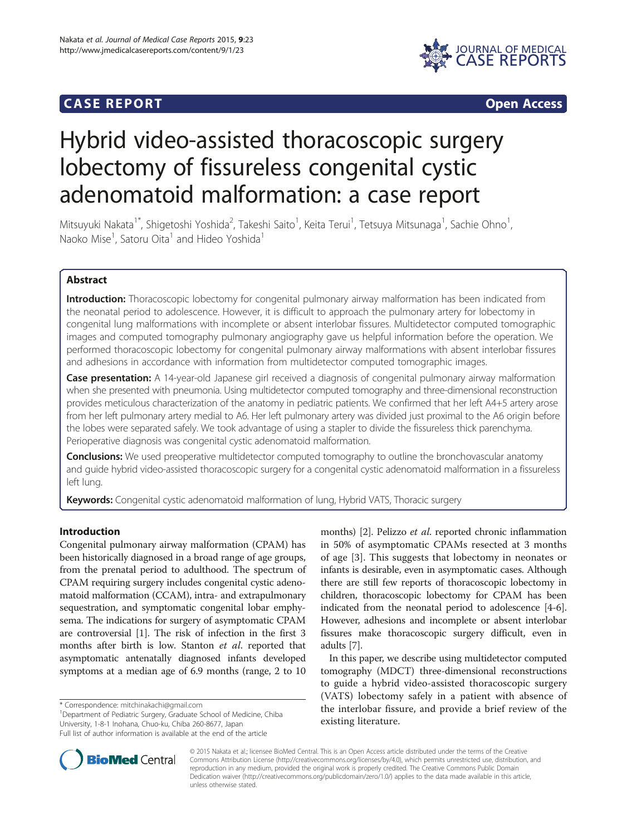# **CASE REPORT CASE REPORT**



# Hybrid video-assisted thoracoscopic surgery lobectomy of fissureless congenital cystic adenomatoid malformation: a case report

Mitsuyuki Nakata<sup>1\*</sup>, Shigetoshi Yoshida<sup>2</sup>, Takeshi Saito<sup>1</sup>, Keita Terui<sup>1</sup>, Tetsuya Mitsunaga<sup>1</sup>, Sachie Ohno<sup>1</sup> , Naoko Mise<sup>1</sup>, Satoru Oita<sup>1</sup> and Hideo Yoshida<sup>1</sup>

# Abstract

Introduction: Thoracoscopic lobectomy for congenital pulmonary airway malformation has been indicated from the neonatal period to adolescence. However, it is difficult to approach the pulmonary artery for lobectomy in congenital lung malformations with incomplete or absent interlobar fissures. Multidetector computed tomographic images and computed tomography pulmonary angiography gave us helpful information before the operation. We performed thoracoscopic lobectomy for congenital pulmonary airway malformations with absent interlobar fissures and adhesions in accordance with information from multidetector computed tomographic images.

Case presentation: A 14-year-old Japanese girl received a diagnosis of congenital pulmonary airway malformation when she presented with pneumonia. Using multidetector computed tomography and three-dimensional reconstruction provides meticulous characterization of the anatomy in pediatric patients. We confirmed that her left A4+5 artery arose from her left pulmonary artery medial to A6. Her left pulmonary artery was divided just proximal to the A6 origin before the lobes were separated safely. We took advantage of using a stapler to divide the fissureless thick parenchyma. Perioperative diagnosis was congenital cystic adenomatoid malformation.

**Conclusions:** We used preoperative multidetector computed tomography to outline the bronchovascular anatomy and guide hybrid video-assisted thoracoscopic surgery for a congenital cystic adenomatoid malformation in a fissureless left lung.

Keywords: Congenital cystic adenomatoid malformation of lung, Hybrid VATS, Thoracic surgery

# Introduction

Congenital pulmonary airway malformation (CPAM) has been historically diagnosed in a broad range of age groups, from the prenatal period to adulthood. The spectrum of CPAM requiring surgery includes congenital cystic adenomatoid malformation (CCAM), intra- and extrapulmonary sequestration, and symptomatic congenital lobar emphysema. The indications for surgery of asymptomatic CPAM are controversial [\[1](#page-2-0)]. The risk of infection in the first 3 months after birth is low. Stanton et al. reported that asymptomatic antenatally diagnosed infants developed symptoms at a median age of 6.9 months (range, 2 to 10

\* Correspondence: [mitchinakachi@gmail.com](mailto:mitchinakachi@gmail.com) <sup>1</sup>

<sup>1</sup>Department of Pediatric Surgery, Graduate School of Medicine, Chiba University, 1-8-1 Inohana, Chuo-ku, Chiba 260-8677, Japan

months) [[2\]](#page-2-0). Pelizzo et al. reported chronic inflammation in 50% of asymptomatic CPAMs resected at 3 months of age [[3\]](#page-2-0). This suggests that lobectomy in neonates or infants is desirable, even in asymptomatic cases. Although there are still few reports of thoracoscopic lobectomy in children, thoracoscopic lobectomy for CPAM has been indicated from the neonatal period to adolescence [\[4](#page-2-0)-[6](#page-2-0)]. However, adhesions and incomplete or absent interlobar fissures make thoracoscopic surgery difficult, even in adults [\[7](#page-3-0)].

In this paper, we describe using multidetector computed tomography (MDCT) three-dimensional reconstructions to guide a hybrid video-assisted thoracoscopic surgery (VATS) lobectomy safely in a patient with absence of the interlobar fissure, and provide a brief review of the existing literature.



© 2015 Nakata et al.; licensee BioMed Central. This is an Open Access article distributed under the terms of the Creative Commons Attribution License [\(http://creativecommons.org/licenses/by/4.0\)](http://creativecommons.org/licenses/by/4.0), which permits unrestricted use, distribution, and reproduction in any medium, provided the original work is properly credited. The Creative Commons Public Domain Dedication waiver [\(http://creativecommons.org/publicdomain/zero/1.0/](http://creativecommons.org/publicdomain/zero/1.0/)) applies to the data made available in this article, unless otherwise stated.

Full list of author information is available at the end of the article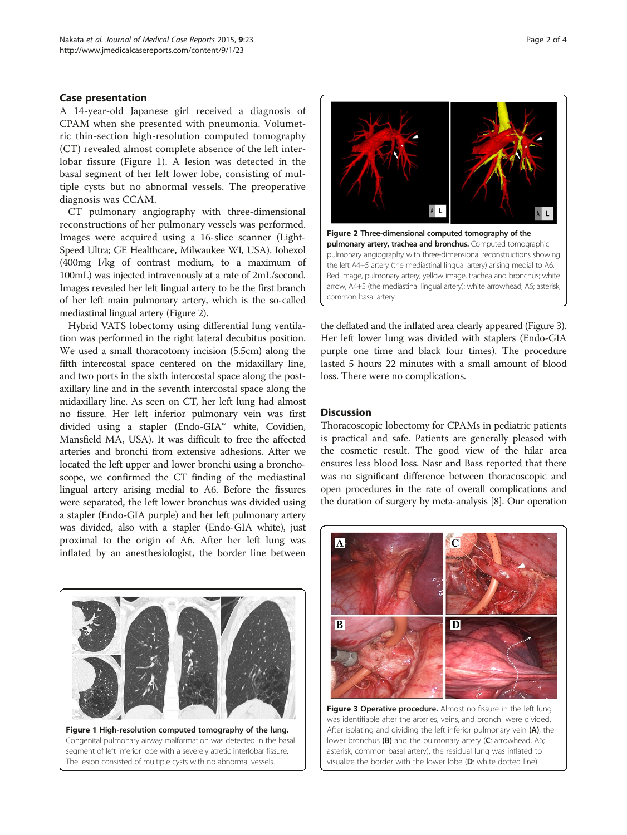# Case presentation

A 14-year-old Japanese girl received a diagnosis of CPAM when she presented with pneumonia. Volumetric thin-section high-resolution computed tomography (CT) revealed almost complete absence of the left interlobar fissure (Figure 1). A lesion was detected in the basal segment of her left lower lobe, consisting of multiple cysts but no abnormal vessels. The preoperative diagnosis was CCAM.

CT pulmonary angiography with three-dimensional reconstructions of her pulmonary vessels was performed. Images were acquired using a 16-slice scanner (Light-Speed Ultra; GE Healthcare, Milwaukee WI, USA). Iohexol (400mg I/kg of contrast medium, to a maximum of 100mL) was injected intravenously at a rate of 2mL/second. Images revealed her left lingual artery to be the first branch of her left main pulmonary artery, which is the so-called mediastinal lingual artery (Figure 2).

Hybrid VATS lobectomy using differential lung ventilation was performed in the right lateral decubitus position. We used a small thoracotomy incision (5.5cm) along the fifth intercostal space centered on the midaxillary line, and two ports in the sixth intercostal space along the postaxillary line and in the seventh intercostal space along the midaxillary line. As seen on CT, her left lung had almost no fissure. Her left inferior pulmonary vein was first divided using a stapler (Endo-GIA™ white, Covidien, Mansfield MA, USA). It was difficult to free the affected arteries and bronchi from extensive adhesions. After we located the left upper and lower bronchi using a bronchoscope, we confirmed the CT finding of the mediastinal lingual artery arising medial to A6. Before the fissures were separated, the left lower bronchus was divided using a stapler (Endo-GIA purple) and her left pulmonary artery was divided, also with a stapler (Endo-GIA white), just proximal to the origin of A6. After her left lung was inflated by an anesthesiologist, the border line between





the deflated and the inflated area clearly appeared (Figure 3). Her left lower lung was divided with staplers (Endo-GIA purple one time and black four times). The procedure lasted 5 hours 22 minutes with a small amount of blood loss. There were no complications.

## **Discussion**

Thoracoscopic lobectomy for CPAMs in pediatric patients is practical and safe. Patients are generally pleased with the cosmetic result. The good view of the hilar area ensures less blood loss. Nasr and Bass reported that there was no significant difference between thoracoscopic and open procedures in the rate of overall complications and the duration of surgery by meta-analysis [\[8\]](#page-3-0). Our operation



Figure 3 Operative procedure. Almost no fissure in the left lung was identifiable after the arteries, veins, and bronchi were divided. After isolating and dividing the left inferior pulmonary vein  $(A)$ , the lower bronchus (B) and the pulmonary artery (C: arrowhead, A6; asterisk, common basal artery), the residual lung was inflated to visualize the border with the lower lobe (D: white dotted line).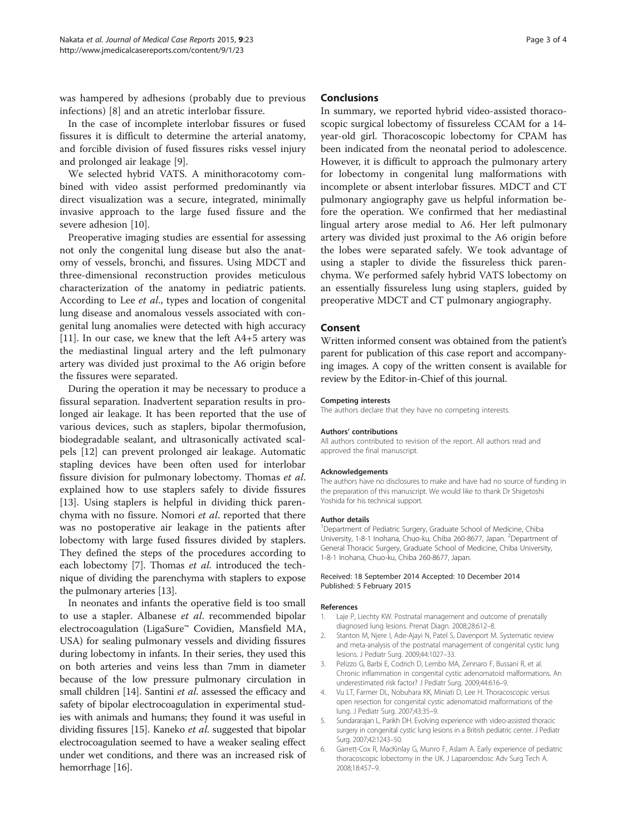<span id="page-2-0"></span>was hampered by adhesions (probably due to previous infections) [[8\]](#page-3-0) and an atretic interlobar fissure.

In the case of incomplete interlobar fissures or fused fissures it is difficult to determine the arterial anatomy, and forcible division of fused fissures risks vessel injury and prolonged air leakage [\[9](#page-3-0)].

We selected hybrid VATS. A minithoracotomy combined with video assist performed predominantly via direct visualization was a secure, integrated, minimally invasive approach to the large fused fissure and the severe adhesion [\[10](#page-3-0)].

Preoperative imaging studies are essential for assessing not only the congenital lung disease but also the anatomy of vessels, bronchi, and fissures. Using MDCT and three-dimensional reconstruction provides meticulous characterization of the anatomy in pediatric patients. According to Lee et al., types and location of congenital lung disease and anomalous vessels associated with congenital lung anomalies were detected with high accuracy [[11\]](#page-3-0). In our case, we knew that the left A4+5 artery was the mediastinal lingual artery and the left pulmonary artery was divided just proximal to the A6 origin before the fissures were separated.

During the operation it may be necessary to produce a fissural separation. Inadvertent separation results in prolonged air leakage. It has been reported that the use of various devices, such as staplers, bipolar thermofusion, biodegradable sealant, and ultrasonically activated scalpels [\[12\]](#page-3-0) can prevent prolonged air leakage. Automatic stapling devices have been often used for interlobar fissure division for pulmonary lobectomy. Thomas et al. explained how to use staplers safely to divide fissures [[13\]](#page-3-0). Using staplers is helpful in dividing thick parenchyma with no fissure. Nomori et al. reported that there was no postoperative air leakage in the patients after lobectomy with large fused fissures divided by staplers. They defined the steps of the procedures according to each lobectomy [\[7](#page-3-0)]. Thomas et al. introduced the technique of dividing the parenchyma with staplers to expose the pulmonary arteries [\[13\]](#page-3-0).

In neonates and infants the operative field is too small to use a stapler. Albanese et al. recommended bipolar electrocoagulation (LigaSure™ Covidien, Mansfield MA, USA) for sealing pulmonary vessels and dividing fissures during lobectomy in infants. In their series, they used this on both arteries and veins less than 7mm in diameter because of the low pressure pulmonary circulation in small children [[14](#page-3-0)]. Santini *et al*. assessed the efficacy and safety of bipolar electrocoagulation in experimental studies with animals and humans; they found it was useful in dividing fissures [[15](#page-3-0)]. Kaneko et al. suggested that bipolar electrocoagulation seemed to have a weaker sealing effect under wet conditions, and there was an increased risk of hemorrhage [[16](#page-3-0)].

## **Conclusions**

In summary, we reported hybrid video-assisted thoracoscopic surgical lobectomy of fissureless CCAM for a 14 year-old girl. Thoracoscopic lobectomy for CPAM has been indicated from the neonatal period to adolescence. However, it is difficult to approach the pulmonary artery for lobectomy in congenital lung malformations with incomplete or absent interlobar fissures. MDCT and CT pulmonary angiography gave us helpful information before the operation. We confirmed that her mediastinal lingual artery arose medial to A6. Her left pulmonary artery was divided just proximal to the A6 origin before the lobes were separated safely. We took advantage of using a stapler to divide the fissureless thick parenchyma. We performed safely hybrid VATS lobectomy on an essentially fissureless lung using staplers, guided by preoperative MDCT and CT pulmonary angiography.

## Consent

Written informed consent was obtained from the patient's parent for publication of this case report and accompanying images. A copy of the written consent is available for review by the Editor-in-Chief of this journal.

#### Competing interests

The authors declare that they have no competing interests.

#### Authors' contributions

All authors contributed to revision of the report. All authors read and approved the final manuscript.

#### Acknowledgements

The authors have no disclosures to make and have had no source of funding in the preparation of this manuscript. We would like to thank Dr Shigetoshi Yoshida for his technical support.

#### Author details

<sup>1</sup>Department of Pediatric Surgery, Graduate School of Medicine, Chiba University, 1-8-1 Inohana, Chuo-ku, Chiba 260-8677, Japan. <sup>2</sup>Department of General Thoracic Surgery, Graduate School of Medicine, Chiba University, 1-8-1 Inohana, Chuo-ku, Chiba 260-8677, Japan.

#### Received: 18 September 2014 Accepted: 10 December 2014 Published: 5 February 2015

#### References

- 1. Laje P, Liechty KW. Postnatal management and outcome of prenatally diagnosed lung lesions. Prenat Diagn. 2008;28:612–8.
- 2. Stanton M, Njere I, Ade-Ajayi N, Patel S, Davenport M. Systematic review and meta-analysis of the postnatal management of congenital cystic lung lesions. J Pediatr Surg. 2009;44:1027–33.
- 3. Pelizzo G, Barbi E, Codrich D, Lembo MA, Zennaro F, Bussani R, et al. Chronic inflammation in congenital cystic adenomatoid malformations. An underestimated risk factor? J Pediatr Surg. 2009;44:616–9.
- 4. Vu LT, Farmer DL, Nobuhara KK, Miniati D, Lee H. Thoracoscopic versus open resection for congenital cystic adenomatoid malformations of the lung. J Pediatr Surg. 2007;43:35–9.
- 5. Sundararajan L, Parikh DH. Evolving experience with video-assisted thoracic surgery in congenital cystic lung lesions in a British pediatric center. J Pediatr Surg. 2007;42:1243–50.
- 6. Garrett-Cox R, MacKinlay G, Munro F, Aslam A. Early experience of pediatric thoracoscopic lobectomy in the UK. J Laparoendosc Adv Surg Tech A. 2008;18:457–9.